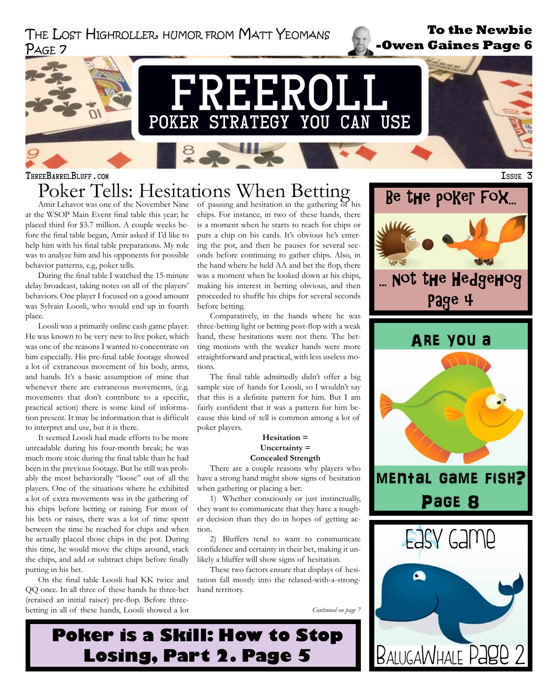The Lost Highroller, humor from Matt Yeomans Page 7

**To the Newbie -Owen Gaines Page 6**



## Poker Tells: Hesitations When Betting THREEBARRELBLUFF.COM SALL SOME THE SERVICE OF SALL SERVICE SUPPORT OF SALL SERVICE SUPPORT OF SALL SERVICE SUPPORT OF SALL SERVICE SUPPORT OF SALL SERVICE SUPPORT OF SALL SERVICE SUPPORT OF SALL SERVICE SUPPORT OF SALL SER

at the WSOP Main Event final table this year; he placed third for \$3.7 million. A couple weeks before the final table began, Amir asked if I'd like to help him with his final table preparations. My role was to analyze him and his opponents for possible behavior patterns, e.g, poker tells.

During the final table I watched the 15-minute delay broadcast, taking notes on all of the players' behaviors. One player I focused on a good amount was Sylvain Loosli, who would end up in fourth place.

Loosli was a primarily online cash game player. He was known to be very new to live poker, which was one of the reasons I wanted to concentrate on him especially. His pre-final table footage showed a lot of extraneous movement of his body, arms, and hands. It's a basic assumption of mine that whenever there are extraneous movements, (e.g. movements that don't contribute to a specific, practical action) there is some kind of information present. It may be information that is difficult to interpret and use, but it is there.

It seemed Loosli had made efforts to be more unreadable during his four-month break; he was much more stoic during the final table than he had been in the previous footage. But he still was probably the most behaviorally "loose" out of all the players. One of the situations where he exhibited a lot of extra movements was in the gathering of his chips before betting or raising. For most of his bets or raises, there was a lot of time spent between the time he reached for chips and when he actually placed those chips in the pot. During this time, he would move the chips around, stack the chips, and add or subtract chips before finally putting in his bet.

On the final table Loosli had KK twice and QQ once. In all three of these hands he three-bet (reraised an initial raiser) pre-flop. Before threebetting in all of these hands, Loosli showed a lot

Amir Lehavot was one of the November Nine of pausing and hesitation in the gathering of his chips. For instance, in two of these hands, there is a moment when he starts to reach for chips or puts a chip on his cards. It's obvious he's entering the pot, and then he pauses for several seconds before continuing to gather chips. Also, in the hand where he held AA and bet the flop, there was a moment when he looked down at his chips, making his interest in betting obvious, and then proceeded to shuffle his chips for several seconds before betting.

> Comparatively, in the hands where he was three-betting light or betting post-flop with a weak hand, these hesitations were not there. The betting motions with the weaker hands were more straightforward and practical, with less useless motions.

> The final table admittedly didn't offer a big sample size of hands for Loosli, so I wouldn't say that this is a definite pattern for him. But I am fairly confident that it was a pattern for him because this kind of tell is common among a lot of poker players.

#### **Hesitation = Uncertainty = Concealed Strength**

There are a couple reasons why players who have a strong hand might show signs of hesitation when gathering or placing a bet:

1) Whether consciously or just instinctually, they want to communicate that they have a tougher decision than they do in hopes of getting action.

2) Bluffers tend to want to communicate confidence and certainty in their bet, making it unlikely a bluffer will show signs of hesitation.

These two factors ensure that displays of hesitation fall mostly into the relaxed-with-a-stronghand territory.

*Continued on page 7*



... not the Hedgehog Page 4 Be the poker fox...



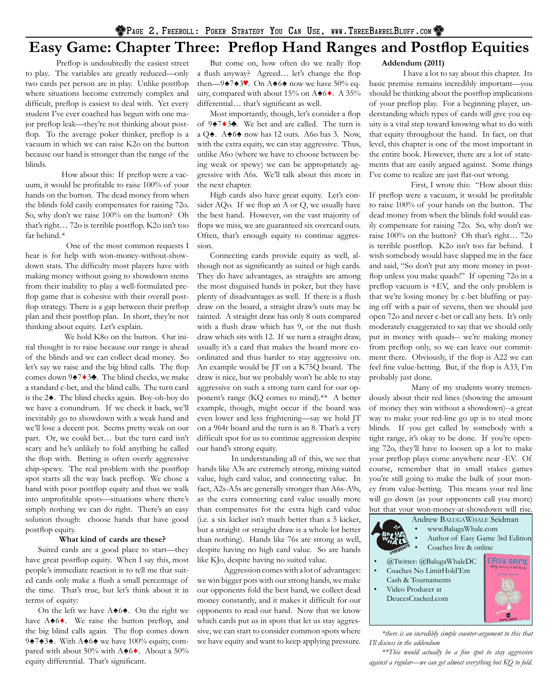## **Easy Game: Chapter Three: Preflop Hand Ranges and Postflop Equities**

 Preflop is undoubtedly the easiest street to play. The variables are greatly reduced—only two cards per person are in play. Unlike postflop where situations become extremely complex and difficult, preflop is easiest to deal with. Yet every student I've ever coached has begun with one major preflop leak—they're not thinking about postflop. To the average poker thinker, preflop is a vacuum in which we can raise K2o on the button because our hand is stronger than the range of the blinds.

 How about this: If preflop were a vacuum, it would be profitable to raise 100% of your hands on the button. The dead money from when the blinds fold easily compensates for raising 72o. So, why don't we raise 100% on the button? Oh that's right… 72o is terrible postflop. K2o isn't too far behind.*\**

 One of the most common requests I hear is for help with won-money-without-showdown stats. The difficulty most players have with making money without going to showdown stems from their inability to play a well-formulated preflop game that is cohesive with their overall postflop strategy. There is a gap between their preflop plan and their postflop plan. In short, they're not thinking about equity. Let's explain.

 We hold K8o on the button. Our initial thought is to raise because our range is ahead of the blinds and we can collect dead money. So let's say we raise and the big blind calls. The flop comes down 9♠7♦3♣. The blind checks, we make a standard c-bet, and the blind calls. The turn card is the 2♠. The blind checks again. Boy-oh-boy do we have a conundrum. If we check it back, we'll inevitably go to showdown with a weak hand and we'll lose a decent pot. Seems pretty weak on our part. Or, we could bet… but the turn card isn't scary and he's unlikely to fold anything he called the flop with. Betting is often overly aggressive chip-spewy. The real problem with the postflop spot starts all the way back preflop. We chose a hand with poor postflop equity and thus we walk into unprofitable spots—situations where there's simply nothing we can do right. There's an easy solution though: choose hands that have good postflop equity.

#### **What kind of cards are these?**

Suited cards are a good place to start—they have great postflop equity. When I say this, most people's immediate reaction is to tell me that suited cards only make a flush a small percentage of the time. That's true, but let's think about it in terms of equity:

On the left we have A♠6♠. On the right we have A♠6♦. We raise the button preflop, and the big blind calls again. The flop comes down 9♠7♠3♠. With A♠6♠ we have 100% equity, compared with about 50% with A♠6♦. About a 50% equity differential. That's significant.

But come on, how often do we really flop a flush anyway? Agreed… let's change the flop then—9 $\triangle 7\triangle 3$ . On A $\triangle 6\triangle$  now we have 50% equity, compared with about 15% on  $A$  $6$   $\leftrightarrow$  A 35% differential… that's significant as well.

Most importantly, though, let's consider a flop of 9♠7♦3♣. We bet and are called. The turn is a Q♠. A♠6♠ now has 12 outs. A6o has 3. Now, with the extra equity, we can stay aggressive. Thus, unlike A6o (where we have to choose between being weak or spewy) we can be appropriately aggressive with A6s. We'll talk about this more in the next chapter.

High cards also have great equity. Let's consider AQo. If we flop an A or Q, we usually have the best hand. However, on the vast majority of flops we miss, we are guaranteed six overcard outs. Often, that's enough equity to continue aggression.

Connecting cards provide equity as well, although not as significantly as suited or high cards. They do have advantages, as straights are among the most disguised hands in poker, but they have plenty of disadvantages as well. If there is a flush draw on the board, a straight draw's outs may be tainted. A straight draw has only 8 outs compared with a flush draw which has 9, or the nut flush draw which sits with 12. If we turn a straight draw, usually it's a card that makes the board more coordinated and thus harder to stay aggressive on. An example would be JT on a K75Q board. The draw is nice, but we probably won't be able to stay aggressive on such a strong turn card for our opponent's range (KQ comes to mind).\*\* A better example, though, might occur if the board was even lower and less frightening—say we hold JT on a 964r board and the turn is an 8. That's a very difficult spot for us to continue aggression despite our hand's strong equity.

 In understanding all of this, we see that hands like A3s are extremely strong, mixing suited value, high card value, and connecting value. In fact, A2s-A5s are generally stronger than A6s-A9s, as the extra connecting card value usually more than compensates for the extra high card value (i.e. a six kicker isn't much better than a 5 kicker, but a straight or straight draw is a whole lot better than nothing). Hands like 76s are strong as well, despite having no high card value. So are hands like KJo, despite having no suited value.

 Aggression comes with a lot of advantages: we win bigger pots with our strong hands, we make our opponents fold the best hand, we collect dead money constantly, and it makes it difficult for our opponents to read our hand. Now that we know which cards put us in spots that let us stay aggressive, we can start to consider common spots where we have equity and want to keep applying pressure.

#### **Addendum (2011)**

 I have a lot to say about this chapter. Its basic premise remains incredibly important—you should be thinking about the postflop implications of your preflop play. For a beginning player, understanding which types of cards will give you equity is a vital step toward knowing what to do with that equity throughout the hand. In fact, on that level, this chapter is one of the most important in the entire book. However, there are a lot of statements that are easily argued against. Some things I've come to realize are just flat-out wrong.

 First, I wrote this: "How about this: If preflop were a vacuum, it would be profitable to raise 100% of your hands on the button. The dead money from when the blinds fold would easily compensate for raising 72o. So, why don't we raise 100% on the button? Oh that's right… 72o is terrible postflop. K2o isn't too far behind. I wish somebody would have slapped me in the face and said, "So don't put any more money in postflop unless you make quads!" If opening 72o in a preflop vacuum is +EV, and the only problem is that we're losing money by c-bet bluffing or paying off with a pair of sevens, then we should just open 72o and never c-bet or call any bets. It's only moderately exaggerated to say that we should only put in money with quads-- we're making money from preflop only, so we can leave our commitment there. Obviously, if the flop is A22 we can feel fine value-betting. But, if the flop is A33, I'm probably just done.

 Many of my students worry tremendously about their red lines (showing the amount of money they win without a showdown)--a great way to make your red-line go up is to steal more blinds. If you get called by somebody with a tight range, it's okay to be done. If you're opening 72o, they'll have to loosen up a lot to make your preflop plays come anywhere near -EV. Of course, remember that in small stakes games you're still going to make the bulk of your money from value-betting. This means your red line will go down (as your opponents call you more) but that your won-money-at-showdown will rise.



*\*there is an incredibly simple counter-argument to this that I'll discuss in the addendum*

*\*\*This would actually be a fine spot to stay aggressive against a regular—we can get almost everything but KQ to fold.*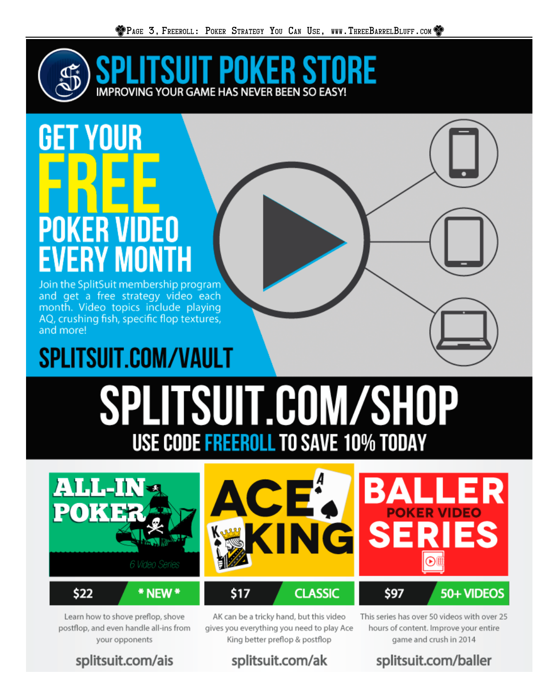**IMPROVING YOUR GAME HAS NEVER BEEN SO EASY!** 

# OUR

Join the SplitSuit membership program and get a free strategy video each month. Video topics include playing AQ, crushing fish, specific flop textures, and more!

# **SPLITSUIT.COM/VAULT**

# SPLITSUIT.COM/SHOP **USE CODE FREEROLL TO SAVE 10% TODAY**



Learn how to shove preflop, shove postflop, and even handle all-ins from your opponents

AK can be a tricky hand, but this video gives you everything you need to play Ace King better preflop & postflop

This series has over 50 videos with over 25 hours of content. Improve your entire game and crush in 2014

splitsuit.com/ais

splitsuit.com/ak

splitsuit.com/baller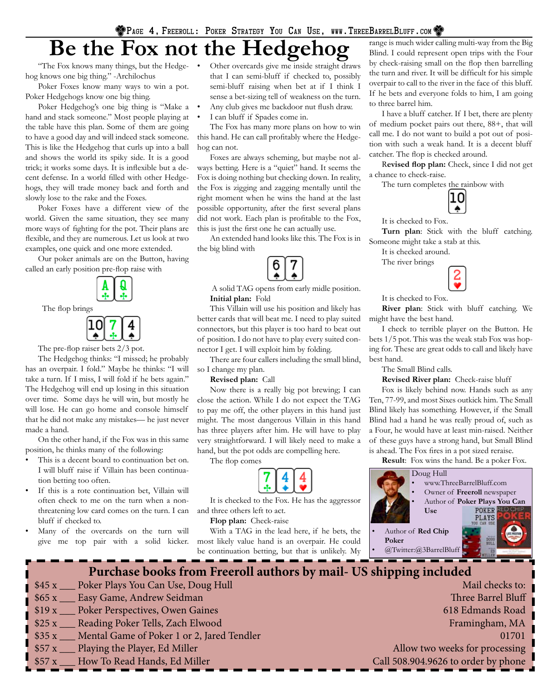## **PPAGE 4, FREEROLL: POKER STRATEGY YOU CAN USE, WWW.THREEBARRELBLUFF.COM**

## **Be the Fox not the Hedgehog**

"The Fox knows many things, but the Hedgehog knows one big thing." -Archilochus

Poker Foxes know many ways to win a pot. Poker Hedgehogs know one big thing.

Poker Hedgehog's one big thing is "Make a hand and stack someone." Most people playing at the table have this plan. Some of them are going to have a good day and will indeed stack someone. This is like the Hedgehog that curls up into a ball and shows the world its spiky side. It is a good trick; it works some days. It is inflexible but a decent defense. In a world filled with other Hedgehogs, they will trade money back and forth and slowly lose to the rake and the Foxes.

Poker Foxes have a different view of the world. Given the same situation, they see many more ways of fighting for the pot. Their plans are flexible, and they are numerous. Let us look at two examples, one quick and one more extended.

Our poker animals are on the Button, having called an early position pre-flop raise with



The pre-flop raiser bets 2/3 pot.

The Hedgehog thinks: "I missed; he probably has an overpair. I fold." Maybe he thinks: "I will take a turn. If I miss, I will fold if he bets again." The Hedgehog will end up losing in this situation over time. Some days he will win, but mostly he will lose. He can go home and console himself that he did not make any mistakes— he just never made a hand.

On the other hand, if the Fox was in this same position, he thinks many of the following:

- This is a decent board to continuation bet on. I will bluff raise if Villain has been continuation betting too often.
- If this is a rote continuation bet, Villain will often check to me on the turn when a nonthreatening low card comes on the turn. I can bluff if checked to.
- Many of the overcards on the turn will give me top pair with a solid kicker.
- Other overcards give me inside straight draws that I can semi-bluff if checked to, possibly semi-bluff raising when bet at if I think I sense a bet-sizing tell of weakness on the turn.
- Any club gives me backdoor nut flush draw.
- I can bluff if Spades come in.

The Fox has many more plans on how to win this hand. He can call profitably where the Hedgehog can not.

Foxes are always scheming, but maybe not always betting. Here is a "quiet" hand. It seems the Fox is doing nothing but checking down. In reality, the Fox is zigging and zagging mentally until the right moment when he wins the hand at the last possible opportunity, after the first several plans did not work. Each plan is profitable to the Fox, this is just the first one he can actually use.

An extended hand looks like this. The Fox is in the big blind with



 A solid TAG opens from early midle position. **Initial plan:** Fold

This Villain will use his position and likely has better cards that will beat me. I need to play suited connectors, but this player is too hard to beat out of position. I do not have to play every suited connector I get. I will exploit him by folding.

There are four callers including the small blind, so I change my plan.

#### **Revised plan:** Call

Now there is a really big pot brewing; I can close the action. While I do not expect the TAG to pay me off, the other players in this hand just might. The most dangerous Villain in this hand has three players after him. He will have to play very straightforward. I will likely need to make a hand, but the pot odds are compelling here.

The flop comes



It is checked to the Fox. He has the aggressor and three others left to act.

**Flop plan:** Check-raise

With a TAG in the lead here, if he bets, the most likely value hand is an overpair. He could be continuation betting, but that is unlikely. My range is much wider calling multi-way from the Big Blind. I could represent open trips with the Four by check-raising small on the flop then barrelling the turn and river. It will be difficult for his simple overpair to call to the river in the face of this bluff. If he bets and everyone folds to him, I am going to three barrel him.

I have a bluff catcher. If I bet, there are plenty of medium pocket pairs out there, 88+, that will call me. I do not want to build a pot out of position with such a weak hand. It is a decent bluff catcher. The flop is checked around.

R**evised flop plan:** Check, since I did not get a chance to check-raise.

The turn completes the rainbow with



It is checked to Fox.

**Turn plan**: Stick with the bluff catching. Someone might take a stab at this.

It is checked around.

The river brings



#### It is checked to Fox.

**River plan**: Stick with bluff catching. We might have the best hand.

I check to terrible player on the Button. He bets 1/5 pot. This was the weak stab Fox was hoping for. These are great odds to call and likely have best hand.

The Small Blind calls.

**Revised River plan:** Check-raise bluff

Fox is likely behind now. Hands such as any Ten, 77-99, and most Sixes outkick him. The Small Blind likely has something. However, if the Small Blind had a hand he was really proud of, such as a Four, he would have at least min-raised. Neither of these guys have a strong hand, but Small Blind is ahead. The Fox fires in a pot sized reraise.

**Result**: Fox wins the hand. Be a poker Fox.



## **Purchase books from Freeroll authors by mail- US shipping included**

- \$45 x \_\_\_ Poker Plays You Can Use, Doug Hull \$65 x \_\_\_ Easy Game, Andrew Seidman \$19 x Poker Perspectives, Owen Gaines \$25 x \_\_\_ Reading Poker Tells, Zach Elwood \$35 x Mental Game of Poker 1 or 2, Jared Tendler Three Barrel Bluff 618 Edmands Road Framingham, MA
- \$57 x \_\_\_ Playing the Player, Ed Miller
- \$57 x \_\_\_ How To Read Hands, Ed Miller

Allow two weeks for processing Call 508.904.9626 to order by phone

01701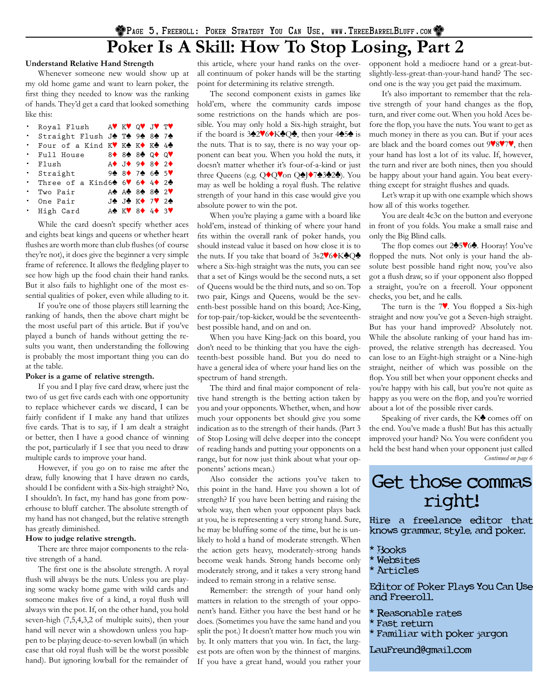## **Poker Is A Skill: How To Stop Losing, Part 2**

#### **Understand Relative Hand Strength**

Whenever someone new would show up at my old home game and want to learn poker, the first thing they needed to know was the ranking of hands. They'd get a card that looked something like this:

| Royal Flush $A \vee K \vee Q \vee J \vee T \vee T$                                        |                                                                                   |  |  |
|-------------------------------------------------------------------------------------------|-----------------------------------------------------------------------------------|--|--|
| Straight Flush J <sup>o</sup> T <sup>o</sup> 9 <sup>o</sup> 8 <sup>o</sup> 7 <sup>o</sup> |                                                                                   |  |  |
| Four of a Kind KV K <sup>*</sup> K <sup>*</sup> K* 4 <sup>*</sup>                         |                                                                                   |  |  |
| Full House $84828$ $84Q$                                                                  |                                                                                   |  |  |
| Flush                                                                                     | $A \bullet J \bullet 9 \bullet 8 \bullet 2 \bullet$                               |  |  |
| Straight                                                                                  | 94 84 74 64 57                                                                    |  |  |
| Three of a Kind6 <sup>2</sup> 6 $\sqrt{64}$ 4 $\sqrt{22}$                                 |                                                                                   |  |  |
| Two Pair                                                                                  | A <sup>2</sup> A <sup>2</sup> 8 <sup>2</sup> 8 <sup>2</sup> 2 <sup>V</sup>        |  |  |
| • One Pair                                                                                | J <sup> J<sup></sup> J<sup></sup> K<sup>+</sup> 7<sup>♥</sup> 2<sup>△</sup></sup> |  |  |
| High Card                                                                                 | A $\ast$ KV 8 $\ast$ 4 3 $\ast$                                                   |  |  |

While the card doesn't specify whether aces and eights beat kings and queens or whether heart flushes are worth more than club flushes (of course they're not), it does give the beginner a very simple frame of reference. It allows the fledgling player to see how high up the food chain their hand ranks. But it also fails to highlight one of the most essential qualities of poker, even while alluding to it.

If you're one of those players still learning the ranking of hands, then the above chart might be the most useful part of this article. But if you've played a bunch of hands without getting the results you want, then understanding the following is probably the most important thing you can do at the table.

#### **Poker is a game of relative strength.**

If you and I play five card draw, where just the two of us get five cards each with one opportunity to replace whichever cards we discard, I can be fairly confident if I make any hand that utilizes five cards. That is to say, if I am dealt a straight or better, then I have a good chance of winning the pot, particularly if I see that you need to draw multiple cards to improve your hand.

However, if you go on to raise me after the draw, fully knowing that I have drawn no cards, should I be confident with a Six-high straight? No, I shouldn't. In fact, my hand has gone from powerhouse to bluff catcher. The absolute strength of my hand has not changed, but the relative strength has greatly diminished.

#### **How to judge relative strength.**

There are three major components to the relative strength of a hand.

The first one is the absolute strength. A royal flush will always be the nuts. Unless you are playing some wacky home game with wild cards and someone makes five of a kind, a royal flush will always win the pot. If, on the other hand, you hold seven-high (7,5,4,3,2 of multiple suits), then your hand will never win a showdown unless you happen to be playing deuce-to-seven lowball (in which case that old royal flush will be the worst possible hand). But ignoring lowball for the remainder of

this article, where your hand ranks on the overall continuum of poker hands will be the starting point for determining its relative strength.

The second component exists in games like hold'em, where the community cards impose some restrictions on the hands which are possible. You may only hold a Six-high straight, but if the board is  $3\triangle 2\sqrt{6}$  K $\triangle Q$ , then your 4 $\triangle 5\triangle 5$  is the nuts. That is to say, there is no way your opponent can beat you. When you hold the nuts, it doesn't matter whether it's four-of-a-kind or just three Queens (e.g. Q♦Q♥on Q♠J♦7♠3♣2♣). You may as well be holding a royal flush. The relative strength of your hand in this case would give you absolute power to win the pot.

When you're playing a game with a board like hold'em, instead of thinking of where your hand fits within the overall rank of poker hands, you should instead value it based on how close it is to the nuts. If you take that board of 3s2♥6♦K♣Q♣ where a Six-high straight was the nuts, you can see that a set of Kings would be the second nuts, a set of Queens would be the third nuts, and so on. Top two pair, Kings and Queens, would be the seventh-best possible hand on this board; Ace-King, for top-pair/top-kicker, would be the seventeenthbest possible hand, and on and on.

When you have King-Jack on this board, you don't need to be thinking that you have the eighteenth-best possible hand. But you do need to have a general idea of where your hand lies on the spectrum of hand strength.

The third and final major component of relative hand strength is the betting action taken by you and your opponents. Whether, when, and how much your opponents bet should give you some indication as to the strength of their hands. (Part 3 of Stop Losing will delve deeper into the concept of reading hands and putting your opponents on a range, but for now just think about what your opponents' actions mean.)

Also consider the actions you've taken to this point in the hand. Have you shown a lot of strength? If you have been betting and raising the whole way, then when your opponent plays back at you, he is representing a very strong hand. Sure, he may be bluffing some of the time, but he is unlikely to hold a hand of moderate strength. When the action gets heavy, moderately-strong hands become weak hands. Strong hands become only moderately strong, and it takes a very strong hand indeed to remain strong in a relative sense.

Remember: the strength of your hand only matters in relation to the strength of your opponent's hand. Either you have the best hand or he does. (Sometimes you have the same hand and you split the pot.) It doesn't matter how much you win by. It only matters that you win. In fact, the largest pots are often won by the thinnest of margins. If you have a great hand, would you rather your

opponent hold a mediocre hand or a great-butslightly-less-great-than-your-hand hand? The second one is the way you get paid the maximum.

It's also important to remember that the relative strength of your hand changes as the flop, turn, and river come out. When you hold Aces before the flop, you have the nuts. You want to get as much money in there as you can. But if your aces are black and the board comes out 9♥8♥7♥, then your hand has lost a lot of its value. If, however, the turn and river are both nines, then you should be happy about your hand again. You beat everything except for straight flushes and quads.

Let's wrap it up with one example which shows how all of this works together.

You are dealt 4c3c on the button and everyone in front of you folds. You make a small raise and only the Big Blind calls.

The flop comes out 2♣5♥6♣. Hooray! You've flopped the nuts. Not only is your hand the absolute best possible hand right now, you've also got a flush draw, so if your opponent also flopped a straight, you're on a freeroll. Your opponent checks, you bet, and he calls.

The turn is the 7♥. You flopped a Six-high straight and now you've got a Seven-high straight. But has your hand improved? Absolutely not. While the absolute ranking of your hand has improved, the relative strength has decreased. You can lose to an Eight-high straight or a Nine-high straight, neither of which was possible on the flop. You still bet when your opponent checks and you're happy with his call, but you're not quite as happy as you were on the flop, and you're worried about a lot of the possible river cards.

Speaking of river cards, the K<sup>♦</sup> comes off on the end. You've made a flush! But has this actually improved your hand? No. You were confident you held the best hand when your opponent just called *Continued on page 6*

## Get those commas right!

Hire a freelance editor that knows grammar, style, and poker.

- \* Books
- \* Websites
- \* Articles

Editor of Poker Plays You Can Use and Freeroll.

- \* Reasonable rates
- \* Fast return
- \* Familiar with poker jargon

LauFreund@gmail.com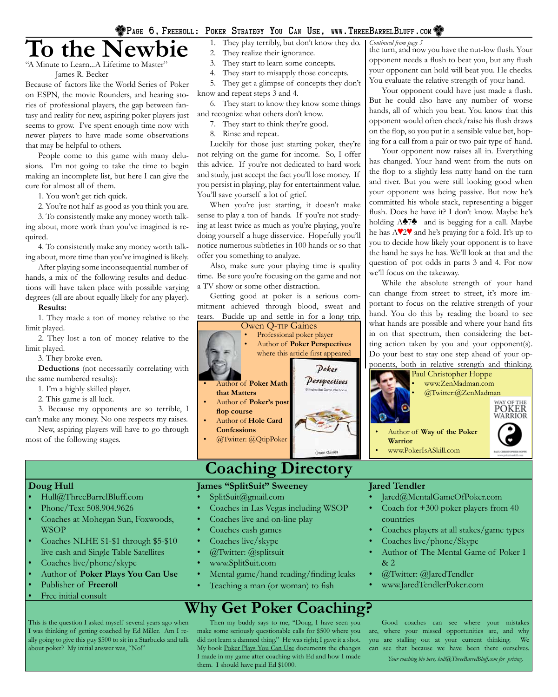## **PPAGE 6, FREEROLL: POKER STRATEGY YOU CAN USE, WWW.THREEBARRELBLUFF.COM**

# **To the Newbie**

"A Minute to Learn...A Lifetime to Master"

- James R. Becker

Because of factors like the World Series of Poker on ESPN, the movie Rounders, and hearing stories of professional players, the gap between fantasy and reality for new, aspiring poker players just seems to grow. I've spent enough time now with newer players to have made some observations that may be helpful to others.

People come to this game with many delusions. I'm not going to take the time to begin making an incomplete list, but here I can give the cure for almost all of them.

1. You won't get rich quick.

2. You're not half as good as you think you are.

3. To consistently make any money worth talking about, more work than you've imagined is required.

4. To consistently make any money worth talking about, more time than you've imagined is likely.

After playing some inconsequential number of hands, a mix of the following results and deductions will have taken place with possible varying degrees (all are about equally likely for any player).

#### **Results:**

1. They made a ton of money relative to the limit played.

2. They lost a ton of money relative to the limit played.

3. They broke even.

**Deductions** (not necessarily correlating with the same numbered results):

- 1. I'm a highly skilled player.
- 2. This game is all luck.

3. Because my opponents are so terrible, I can't make any money. No one respects my raises.

New, aspiring players will have to go through most of the following stages.

## 1. They play terribly, but don't know they do.

- 2. They realize their ignorance.
- 3. They start to learn some concepts.

4. They start to misapply those concepts.

5. They get a glimpse of concepts they don't know and repeat steps 3 and 4.

6. They start to know they know some things and recognize what others don't know.

7. They start to think they're good.

8. Rinse and repeat.

Luckily for those just starting poker, they're not relying on the game for income. So, I offer this advice. If you're not dedicated to hard work and study, just accept the fact you'll lose money. If you persist in playing, play for entertainment value. You'll save yourself a lot of grief.

When you're just starting, it doesn't make sense to play a ton of hands. If you're not studying at least twice as much as you're playing, you're doing yourself a huge disservice. Hopefully you'll notice numerous subtleties in 100 hands or so that offer you something to analyze.

Also, make sure your playing time is quality time. Be sure you're focusing on the game and not a TV show or some other distraction.

Getting good at poker is a serious commitment achieved through blood, sweat and tears. Buckle up and settle in for a long trip.



**Coaching Directory**

## **James "SplitSuit" Sweeney**

- SplitSuit@gmail.com
- Coaches in Las Vegas including WSOP
- Coaches live and on-line play
- Coaches cash games
- Coaches live/skype
- @Twitter: @splitsuit
- www.SplitSuit.com
- Mental game/hand reading/finding leaks
- Teaching a man (or woman) to fish

## **Why Get Poker Coaching?**

Then my buddy says to me, "Doug, I have seen you make some seriously questionable calls for \$500 where you did not learn a damned thing." He was right; I gave it a shot. My book Poker Plays You Can Use documents the changes I made in my game after coaching with Ed and how I made them. I should have paid Ed \$1000.

the turn, and now you have the nut-low flush. Your opponent needs a flush to beat you, but any flush your opponent can hold will beat you. He checks. You evaluate the relative strength of your hand. *Continued from page 5*

Your opponent could have just made a flush. But he could also have any number of worse hands, all of which you beat. You know that this opponent would often check/raise his flush draws on the flop, so you put in a sensible value bet, hoping for a call from a pair or two-pair type of hand.

Your opponent now raises all in. Everything has changed. Your hand went from the nuts on the flop to a slightly less nutty hand on the turn and river. But you were still looking good when your opponent was being passive. But now he's committed his whole stack, representing a bigger flush. Does he have it? I don't know. Maybe he's holding  $A\clubsuit$ 7 $\spadesuit$  and is begging for a call. Maybe he has  $A\vee 2\vee$  and he's praying for a fold. It's up to you to decide how likely your opponent is to have the hand he says he has. We'll look at that and the question of pot odds in parts 3 and 4. For now we'll focus on the takeaway.

While the absolute strength of your hand can change from street to street, it's more important to focus on the relative strength of your hand. You do this by reading the board to see what hands are possible and where your hand fits in on that spectrum, then considering the betting action taken by you and your opponent(s). Do your best to stay one step ahead of your opponents, both in relative strength and thinking.



• www.PokerIsASkill.com

## **Jared Tendler**

Jared@MentalGameOfPoker.com

- Coach for +300 poker players from 40 countries
- Coaches players at all stakes/game types
- Coaches live/phone/Skype
- Author of The Mental Game of Poker 1 & 2
- @Twitter: @JaredTendler
- www.JaredTendlerPoker.com

Good coaches can see where your mistakes are, where your missed opportunities are, and why you are stalling out at your current thinking. We can see that because we have been there ourselves.

*Your coaching bio here, hull@ThreeBarrelBluff.com for pricing.*

## **Doug Hull**

- Hull@ThreeBarrelBluff.com
- Phone/Text 508.904.9626
- Coaches at Mohegan Sun, Foxwoods, WSOP
- Coaches NLHE \$1-\$1 through \$5-\$10 live cash and Single Table Satellites
- Coaches live/phone/skype
- Author of **Poker Plays You Can Use**
- Publisher of **Freeroll**
- Free initial consult

This is the question I asked myself several years ago when I was thinking of getting coached by Ed Miller. Am I really going to give this guy \$500 to sit in a Starbucks and talk about poker? My initial answer was, "No!"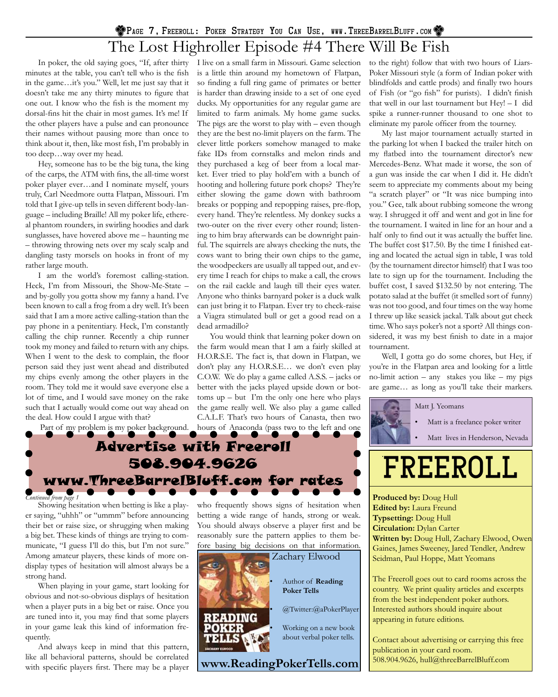## **PPAGE 7, FREEROLL: POKER STRATEGY YOU CAN USE, WWW.THREEBARRELBLUFF.COM**

## The Lost Highroller Episode #4 There Will Be Fish

minutes at the table, you can't tell who is the fish in the game…it's you." Well, let me just say that it doesn't take me any thirty minutes to figure that one out. I know who the fish is the moment my dorsal-fins hit the chair in most games. It's me! If the other players have a pulse and can pronounce their names without pausing more than once to think about it, then, like most fish, I'm probably in too deep…way over my head.

Hey, someone has to be the big tuna, the king of the carps, the ATM with fins, the all-time worst poker player ever…and I nominate myself, yours truly, Carl Needmore outta Flatpan, Missouri. I'm told that I give-up tells in seven different body-language – including Braille! All my poker life, ethereal phantom rounders, in swirling hoodies and dark sunglasses, have hovered above me – haunting me – throwing throwing nets over my scaly scalp and dangling tasty morsels on hooks in front of my rather large mouth.

I am the world's foremost calling-station. Heck, I'm from Missouri, the Show-Me-State – and by-golly you gotta show my fanny a hand. I've been known to call a frog from a dry well. It's been said that I am a more active calling-station than the pay phone in a penitentiary. Heck, I'm constantly calling the chip runner. Recently a chip runner took my money and failed to return with any chips. When I went to the desk to complain, the floor person said they just went ahead and distributed my chips evenly among the other players in the room. They told me it would save everyone else a lot of time, and I would save money on the rake such that I actually would come out way ahead on the deal. How could I argue with that?

In poker, the old saying goes, "If, after thirty I live on a small farm in Missouri. Game selection is a little thin around my hometown of Flatpan, so finding a full ring game of primates or better is harder than drawing inside to a set of one eyed ducks. My opportunities for any regular game are limited to farm animals. My home game sucks. The pigs are the worst to play with – even though they are the best no-limit players on the farm. The clever little porkers somehow managed to make fake IDs from cornstalks and melon rinds and they purchased a keg of beer from a local market. Ever tried to play hold'em with a bunch of hooting and hollering future pork chops? They're either slowing the game down with bathroom breaks or popping and repopping raises, pre-flop, every hand. They're relentless. My donkey sucks a two-outer on the river every other round; listening to him bray afterwards can be downright painful. The squirrels are always checking the nuts, the cows want to bring their own chips to the game, the woodpeckers are usually all tapped out, and every time I reach for chips to make a call, the crows on the rail cackle and laugh till their eyes water. Anyone who thinks barnyard poker is a duck walk can just bring it to Flatpan. Ever try to check-raise a Viagra stimulated bull or get a good read on a dead armadillo?

Part of my problem is my poker background. hours of Anaconda (pass two to the left and one You would think that learning poker down on the farm would mean that I am a fairly skilled at H.O.R.S.E. The fact is, that down in Flatpan, we don't play any H.O.R.S.E… we don't even play C.O.W. We do play a game called A.S.S. – jacks or better with the jacks played upside down or bottoms  $up$  – but I'm the only one here who plays the game really well. We also play a game called C.A.L.F. That's two hours of Canasta, then two

## Advertise with Freeroll 508.904.9626 www.ThreeBarrelBluff.com for rates *Continued from page 1*

Showing hesitation when betting is like a player saying, "uhhh" or "ummm" before announcing their bet or raise size, or shrugging when making a big bet. These kinds of things are trying to communicate, "I guess I'll do this, but I'm not sure." Among amateur players, these kinds of more ondisplay types of hesitation will almost always be a strong hand.

When playing in your game, start looking for obvious and not-so-obvious displays of hesitation when a player puts in a big bet or raise. Once you are tuned into it, you may find that some players in your game leak this kind of information frequently.

And always keep in mind that this pattern, like all behavioral patterns, should be correlated with specific players first. There may be a player who frequently shows signs of hesitation when betting a wide range of hands, strong or weak. You should always observe a player first and be reasonably sure the pattern applies to them before basing big decisions on that information.



**www.ReadingPokerTells.com**

to the right) follow that with two hours of Liars-Poker Missouri style (a form of Indian poker with blindfolds and cattle prods) and finally two hours of Fish (or "go fish" for purists). I didn't finish that well in our last tournament but Hey! – I did spike a runner-runner thousand to one shot to eliminate my parole officer from the tourney.

My last major tournament actually started in the parking lot when I backed the trailer hitch on my flatbed into the tournament director's new Mercedes-Benz. What made it worse, the son of a gun was inside the car when I did it. He didn't seem to appreciate my comments about my being "a scratch player" or "It was nice bumping into you." Gee, talk about rubbing someone the wrong way. I shrugged it off and went and got in line for the tournament. I waited in line for an hour and a half only to find out it was actually the buffet line. The buffet cost \$17.50. By the time I finished eating and located the actual sign in table, I was told (by the tournament director himself) that I was too late to sign up for the tournament. Including the buffet cost, I saved \$132.50 by not entering. The potato salad at the buffet (it smelled sort of funny) was not too good, and four times on the way home I threw up like seasick jackal. Talk about gut check time. Who says poker's not a sport? All things considered, it was my best finish to date in a major tournament.

Well, I gotta go do some chores, but Hey, if you're in the Flatpan area and looking for a little no-limit action – any stakes you like – my pigs are game… as long as you'll take their markers.